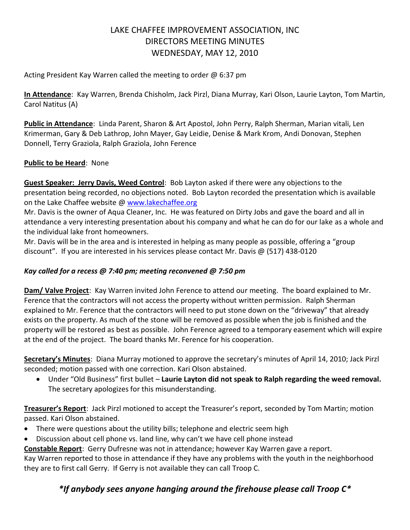# LAKE CHAFFEE IMPROVEMENT ASSOCIATION, INC DIRECTORS MEETING MINUTES WEDNESDAY, MAY 12, 2010

Acting President Kay Warren called the meeting to order @ 6:37 pm

**In Attendance**: Kay Warren, Brenda Chisholm, Jack Pirzl, Diana Murray, Kari Olson, Laurie Layton, Tom Martin, Carol Natitus (A)

**Public in Attendance**: Linda Parent, Sharon & Art Apostol, John Perry, Ralph Sherman, Marian vitali, Len Krimerman, Gary & Deb Lathrop, John Mayer, Gay Leidie, Denise & Mark Krom, Andi Donovan, Stephen Donnell, Terry Graziola, Ralph Graziola, John Ference

# **Public to be Heard**: None

**Guest Speaker: Jerry Davis, Weed Control**: Bob Layton asked if there were any objections to the presentation being recorded, no objections noted. Bob Layton recorded the presentation which is available on the Lake Chaffee website @ [www.lakechaffee.org](http://www.lakechaffee.org/)

Mr. Davis is the owner of Aqua Cleaner, Inc. He was featured on Dirty Jobs and gave the board and all in attendance a very interesting presentation about his company and what he can do for our lake as a whole and the individual lake front homeowners.

Mr. Davis will be in the area and is interested in helping as many people as possible, offering a "group discount". If you are interested in his services please contact Mr. Davis @ (517) 438-0120

# *Kay called for a recess @ 7:40 pm; meeting reconvened @ 7:50 pm*

Dam/ Valve Project: Kay Warren invited John Ference to attend our meeting. The board explained to Mr. Ference that the contractors will not access the property without written permission. Ralph Sherman explained to Mr. Ference that the contractors will need to put stone down on the "driveway" that already exists on the property. As much of the stone will be removed as possible when the job is finished and the property will be restored as best as possible. John Ference agreed to a temporary easement which will expire at the end of the project. The board thanks Mr. Ference for his cooperation.

**Secretary's Minutes**: Diana Murray motioned to approve the secretary's minutes of April 14, 2010; Jack Pirzl seconded; motion passed with one correction. Kari Olson abstained.

 Under "Old Business" first bullet – **Laurie Layton did not speak to Ralph regarding the weed removal.**  The secretary apologizes for this misunderstanding.

**Treasurer's Report**: Jack Pirzl motioned to accept the Treasurer's report, seconded by Tom Martin; motion passed. Kari Olson abstained.

- There were questions about the utility bills; telephone and electric seem high
- Discussion about cell phone vs. land line, why can't we have cell phone instead

**Constable Report**: Gerry Dufresne was not in attendance; however Kay Warren gave a report.

Kay Warren reported to those in attendance if they have any problems with the youth in the neighborhood they are to first call Gerry. If Gerry is not available they can call Troop C.

# *\*If anybody sees anyone hanging around the firehouse please call Troop C\**